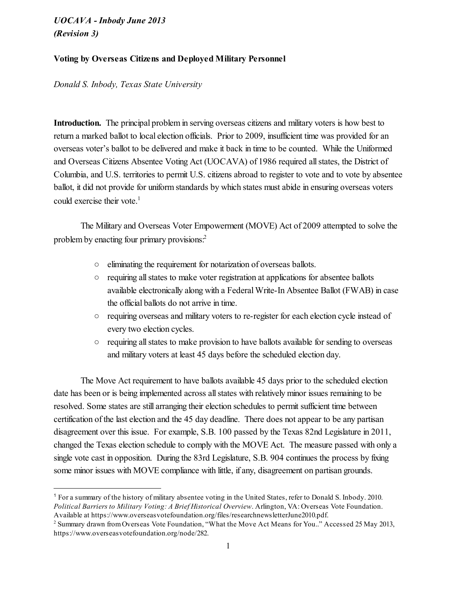### Voting by Overseas Citizens and Deployed Military Personnel

*Donald S. Inbody, Texas State University*

Introduction. The principal problem in serving overseas citizens and military voters is how best to return a marked ballot to local election officials. Prior to 2009, insufficient time was provided for an overseas voter's ballot to be delivered and make it back in time to be counted. While the Uniformed and Overseas Citizens Absentee Voting Act (UOCAVA) of 1986 required allstates, the District of Columbia, and U.S. territories to permit U.S. citizens abroad to register to vote and to vote by absentee ballot, it did not provide for uniform standards by which states must abide in ensuring overseas voters could exercise their vote. 1

The Military and Overseas Voter Empowerment (MOVE) Act of 2009 attempted to solve the problem by enacting four primary provisions: 2

- eliminating the requirement for notarization of overseas ballots.
- requiring allstates to make voter registration at applications for absentee ballots available electronically along with a Federal Write-In Absentee Ballot (FWAB) in case the official ballots do not arrive in time.
- requiring overseas and military voters to re-register for each election cycle instead of every two election cycles.
- requiring allstates to make provision to have ballots available for sending to overseas and military voters at least 45 days before the scheduled election day.

The Move Act requirement to have ballots available 45 days prior to the scheduled election date has been or is being implemented across all states with relatively minor issues remaining to be resolved. Some states are still arranging their election schedules to permit sufficient time between certification of the last election and the 45 day deadline. There does not appear to be any partisan disagreement over this issue. For example, S.B. 100 passed by the Texas 82nd Legislature in 2011, changed the Texas election schedule to comply with the MOVE Act. The measure passed with only a single vote cast in opposition. During the 83rd Legislature, S.B. 904 continues the process by fixing some minor issues with MOVE compliance with little, if any, disagreement on partisan grounds.

<sup>1</sup> For a summary of the history of military absentee voting in the United States, refer to Donald S. Inbody. 2010. *Political Barriers to Military Voting: A Brief Historical Overview*. Arlington, VA: Overseas Vote Foundation. Available at https://www.overseasvotefoundation.org/files/researchnewsletterJune2010.pdf.

<sup>&</sup>lt;sup>2</sup> Summary drawn from Overseas Vote Foundation, "What the Move Act Means for You.." Accessed 25 May 2013, https://www.overseasvotefoundation.org/node/282.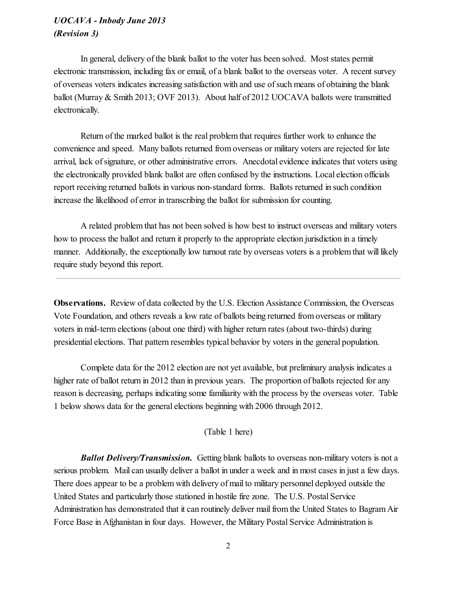In general, delivery of the blank ballot to the voter has been solved. Most states permit electronic transmission, including fax or email, of a blank ballot to the overseas voter. A recent survey of overseas voters indicates increasing satisfaction with and use ofsuch means of obtaining the blank ballot (Murray & Smith 2013; OVF 2013). About half of 2012 UOCAVA ballots were transmitted electronically.

Return of the marked ballot is the real problem that requires further work to enhance the convenience and speed. Many ballots returned from overseas or military voters are rejected for late arrival, lack of signature, or other administrative errors. Anecdotal evidence indicates that voters using the electronically provided blank ballot are often confused by the instructions. Local election officials report receiving returned ballots in various non-standard forms. Ballots returned in such condition increase the likelihood of error in transcribing the ballot for submission for counting.

A related problem that has not been solved is how best to instruct overseas and military voters how to process the ballot and return it properly to the appropriate election jurisdiction in a timely manner. Additionally, the exceptionally low turnout rate by overseas voters is a problem that will likely require study beyond this report.

Observations. Review of data collected by the U.S. Election Assistance Commission, the Overseas Vote Foundation, and others reveals a low rate of ballots being returned from overseas or military voters in mid-term elections (about one third) with higher return rates (about two-thirds) during presidential elections. That pattern resembles typical behavior by voters in the general population.

Complete data for the 2012 election are not yet available, but preliminary analysis indicates a higher rate of ballot return in 2012 than in previous years. The proportion of ballots rejected for any reason is decreasing, perhaps indicating some familiarity with the process by the overseas voter. Table 1 below shows data for the general elections beginning with 2006 through 2012.

#### (Table 1 here)

*Ballot Delivery/Transmission.* Getting blank ballots to overseas non-military voters is not a serious problem. Mail can usually deliver a ballot in under a week and in most cases in just a few days. There does appear to be a problem with delivery of mail to military personnel deployed outside the United States and particularly those stationed in hostile fire zone. The U.S. Postal Service Administration has demonstrated that it can routinely deliver mailfrom the United States to Bagram Air Force Base in Afghanistan in four days. However, the Military Postal Service Administration is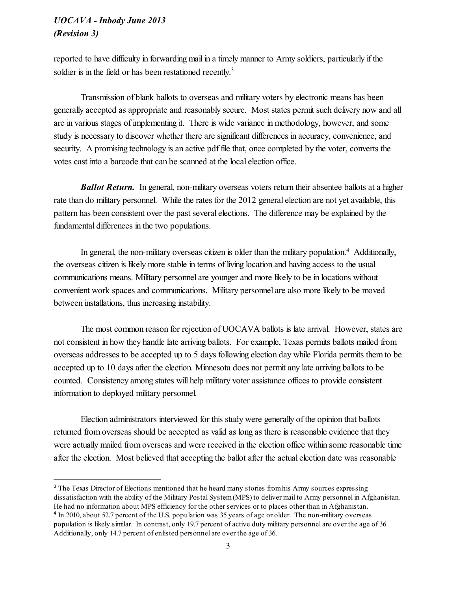reported to have difficulty in forwarding mail in a timely manner to Army soldiers, particularly if the soldier is in the field or has been restationed recently.<sup>3</sup>

Transmission of blank ballots to overseas and military voters by electronic means has been generally accepted as appropriate and reasonably secure. Most states permit such delivery now and all are in various stages of implementing it. There is wide variance in methodology, however, and some study is necessary to discover whether there are significant differences in accuracy, convenience, and security. A promising technology is an active pdf file that, once completed by the voter, converts the votes cast into a barcode that can be scanned at the local election office.

*Ballot Return.* In general, non-military overseas voters return their absentee ballots at a higher rate than do military personnel. While the rates for the 2012 general election are not yet available, this pattern has been consistent over the past several elections. The difference may be explained by the fundamental differences in the two populations.

In general, the non-military overseas citizen is older than the military population.<sup>4</sup> Additionally, the overseas citizen is likely more stable in terms of living location and having access to the usual communications means. Military personnel are younger and more likely to be in locations without convenient work spaces and communications. Military personnel are also more likely to be moved between installations, thus increasing instability.

The most common reason for rejection of UOCAVA ballots is late arrival. However, states are not consistent in how they handle late arriving ballots. For example, Texas permits ballots mailed from overseas addresses to be accepted up to 5 days following election day while Florida permits them to be accepted up to 10 days after the election. Minnesota does not permit any late arriving ballots to be counted. Consistency among states will help military voter assistance offices to provide consistent information to deployed military personnel.

Election administrators interviewed for this study were generally of the opinion that ballots returned from overseas should be accepted as valid as long as there is reasonable evidence that they were actually mailed from overseas and were received in the election office within some reasonable time after the election. Most believed that accepting the ballot after the actual election date was reasonable

<sup>&</sup>lt;sup>3</sup> The Texas Director of Elections mentioned that he heard many stories from his Army sources expressing dissatisfaction with the ability of the Military Postal System(MPS) to deliver mail to Army personnel in Afghanistan. He had no information about MPS efficiency for the other services or to places other than in Afghanistan. 4 In 2010, about 52.7 percent of the U.S. population was 35 years of age or older. The non-military overseas

population is likely similar. In contrast, only 19.7 percent of active duty military personnel are over the age of 36. Additionally, only 14.7 percent of enlisted personnel are over the age of 36.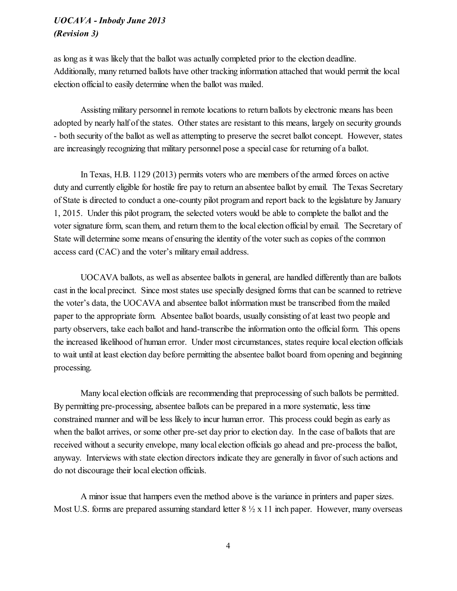as long as it was likely that the ballot was actually completed prior to the election deadline. Additionally, many returned ballots have other tracking information attached that would permit the local election official to easily determine when the ballot was mailed.

Assisting military personnel in remote locations to return ballots by electronic means has been adopted by nearly half of the states. Other states are resistant to this means, largely on security grounds - both security of the ballot as well as attempting to preserve the secret ballot concept. However, states are increasingly recognizing that military personnel pose a special case for returning of a ballot.

In Texas, H.B. 1129 (2013) permits voters who are members of the armed forces on active duty and currently eligible for hostile fire pay to return an absentee ballot by email. The Texas Secretary of State is directed to conduct a one-county pilot program and report back to the legislature by January 1, 2015. Under this pilot program, the selected voters would be able to complete the ballot and the voter signature form, scan them, and return them to the local election official by email. The Secretary of State will determine some means of ensuring the identity of the voter such as copies of the common access card (CAC) and the voter's military email address.

UOCAVA ballots, as well as absentee ballots in general, are handled differently than are ballots cast in the local precinct. Since most states use specially designed forms that can be scanned to retrieve the voter's data, the UOCAVA and absentee ballot information must be transcribed from the mailed paper to the appropriate form. Absentee ballot boards, usually consisting of at least two people and party observers, take each ballot and hand-transcribe the information onto the official form. This opens the increased likelihood of human error. Under most circumstances, states require local election officials to wait until at least election day before permitting the absentee ballot board from opening and beginning processing.

Many local election officials are recommending that preprocessing of such ballots be permitted. By permitting pre-processing, absentee ballots can be prepared in a more systematic, less time constrained manner and will be less likely to incur human error. This process could begin as early as when the ballot arrives, or some other pre-set day prior to election day. In the case of ballots that are received without a security envelope, many local election officials go ahead and pre-process the ballot, anyway. Interviews with state election directors indicate they are generally in favor of such actions and do not discourage their local election officials.

A minor issue that hampers even the method above is the variance in printers and paper sizes. Most U.S. forms are prepared assuming standard letter  $8\frac{1}{2} \times 11$  inch paper. However, many overseas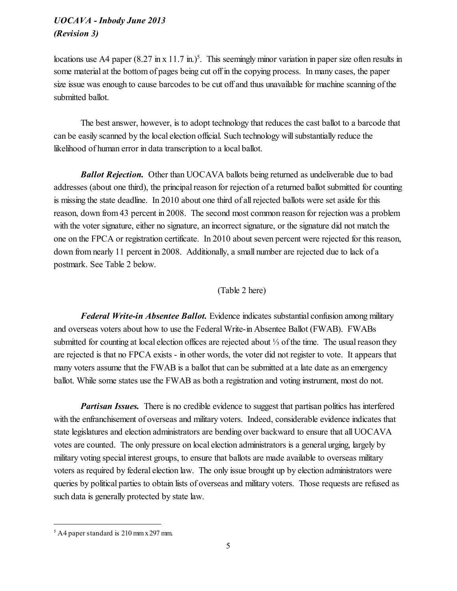locations use A4 paper  $(8.27 \text{ in x } 11.7 \text{ in.})^5$ . This seemingly minor variation in paper size often results in some material at the bottom of pages being cut off in the copying process. In many cases, the paper size issue was enough to cause barcodes to be cut off and thus unavailable for machine scanning of the submitted ballot.

The best answer, however, is to adopt technology that reduces the cast ballot to a barcode that can be easily scanned by the local election official. Such technology will substantially reduce the likelihood of human error in data transcription to a local ballot.

*Ballot Rejection.* Other than UOCAVA ballots being returned as undeliverable due to bad addresses (about one third), the principal reason for rejection of a returned ballot submitted for counting is missing the state deadline. In 2010 about one third of allrejected ballots were set aside for this reason, down from 43 percent in 2008. The second most common reason for rejection was a problem with the voter signature, either no signature, an incorrect signature, or the signature did not match the one on the FPCA or registration certificate. In 2010 about seven percent were rejected for this reason, down from nearly 11 percent in 2008. Additionally, a small number are rejected due to lack of a postmark. See Table 2 below.

#### (Table 2 here)

*Federal Write-in Absentee Ballot.* Evidence indicates substantial confusion among military and overseas voters about how to use the Federal Write-in Absentee Ballot (FWAB). FWABs submitted for counting at local election offices are rejected about ¼ of the time. The usual reason they are rejected is that no FPCA exists - in other words, the voter did not register to vote. It appears that many voters assume that the FWAB is a ballot that can be submitted at a late date as an emergency ballot. While some states use the FWAB as both a registration and voting instrument, most do not.

*Partisan Issues.* There is no credible evidence to suggest that partisan politics has interfered with the enfranchisement of overseas and military voters. Indeed, considerable evidence indicates that state legislatures and election administrators are bending over backward to ensure that all UOCAVA votes are counted. The only pressure on local election administrators is a general urging, largely by military voting special interest groups, to ensure that ballots are made available to overseas military voters as required by federal election law. The only issue brought up by election administrators were queries by political parties to obtain lists of overseas and military voters. Those requests are refused as such data is generally protected by state law.

 $5$  A4 paper standard is 210 mm x 297 mm.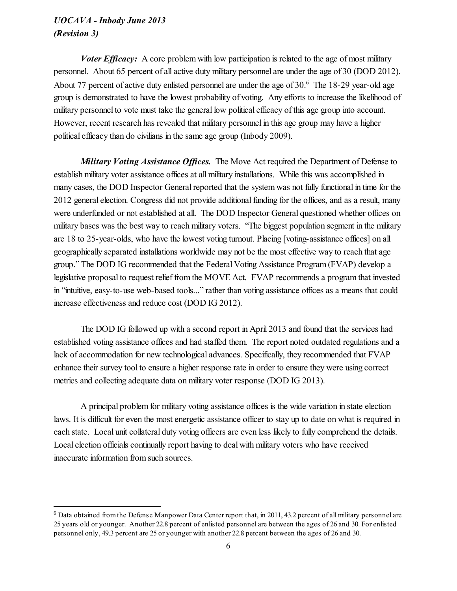*Voter Efficacy:* A core problem with low participation is related to the age of most military personnel. About 65 percent of all active duty military personnel are under the age of 30 (DOD 2012). About 77 percent of active duty enlisted personnel are under the age of 30.<sup>6</sup> The 18-29 year-old age group is demonstrated to have the lowest probability of voting. Any efforts to increase the likelihood of military personnel to vote must take the general low political efficacy of this age group into account. However, recent research has revealed that military personnel in this age group may have a higher political efficacy than do civilians in the same age group (Inbody 2009).

*Military Voting Assistance Offices.* The Move Act required the Department of Defense to establish military voter assistance offices at all military installations. While this was accomplished in many cases, the DOD Inspector General reported that the system was not fully functional in time for the 2012 general election. Congress did not provide additional funding for the offices, and as a result, many were underfunded or not established at all. The DOD Inspector General questioned whether offices on military bases was the best way to reach military voters. "The biggest population segment in the military are 18 to 25-year-olds, who have the lowest voting turnout. Placing [voting-assistance offices] on all geographically separated installations worldwide may not be the most effective way to reach that age group." The DOD IG recommended that the Federal Voting Assistance Program (FVAP) develop a legislative proposal to request relief from the MOVE Act. FVAP recommends a program that invested in "intuitive, easy-to-use web-based tools..." rather than voting assistance offices as a means that could increase effectiveness and reduce cost (DOD IG 2012).

The DOD IG followed up with a second report in April 2013 and found that the services had established voting assistance offices and had staffed them. The report noted outdated regulations and a lack of accommodation for new technological advances. Specifically, they recommended that FVAP enhance their survey tool to ensure a higher response rate in order to ensure they were using correct metrics and collecting adequate data on military voter response (DOD IG 2013).

A principal problem for military voting assistance offices is the wide variation in state election laws. It is difficult for even the most energetic assistance officer to stay up to date on what is required in each state. Local unit collateral duty voting officers are even less likely to fully comprehend the details. Local election officials continually report having to deal with military voters who have received inaccurate information from such sources.

 $6$  Data obtained from the Defense Manpower Data Center report that, in 2011, 43.2 percent of all military personnel are 25 years old or younger. Another 22.8 percent of enlisted personnel are between the ages of 26 and 30. For enlisted personnel only, 49.3 percent are 25 or younger with another 22.8 percent between the ages of 26 and 30.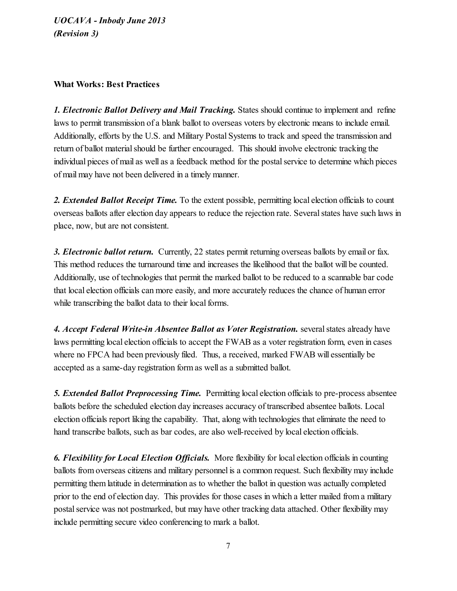### What Works: Best Practices

*1. Electronic Ballot Delivery and Mail Tracking.* States should continue to implement and refine laws to permit transmission of a blank ballot to overseas voters by electronic means to include email. Additionally, efforts by the U.S. and Military Postal Systems to track and speed the transmission and return of ballot material should be further encouraged. This should involve electronic tracking the individual pieces of mail as well as a feedback method for the postalservice to determine which pieces of mail may have not been delivered in a timely manner.

*2. Extended Ballot Receipt Time.* To the extent possible, permitting local election officials to count overseas ballots after election day appears to reduce the rejection rate. Several states have such laws in place, now, but are not consistent.

*3. Electronic ballot return.* Currently, 22 states permit returning overseas ballots by email or fax. This method reduces the turnaround time and increases the likelihood that the ballot will be counted. Additionally, use of technologies that permit the marked ballot to be reduced to a scannable bar code that local election officials can more easily, and more accurately reduces the chance of human error while transcribing the ballot data to their local forms.

*4. Accept Federal Write-in Absentee Ballot as Voter Registration.* severalstates already have laws permitting local election officials to accept the FWAB as a voter registration form, even in cases where no FPCA had been previously filed. Thus, a received, marked FWAB will essentially be accepted as a same-day registration form as well as a submitted ballot.

*5. Extended Ballot Preprocessing Time.* Permitting local election officials to pre-process absentee ballots before the scheduled election day increases accuracy of transcribed absentee ballots. Local election officials report liking the capability. That, along with technologies that eliminate the need to hand transcribe ballots, such as bar codes, are also well-received by local election officials.

*6. Flexibility for Local Election Of icials.* More flexibility for local election officials in counting ballots from overseas citizens and military personnel is a common request. Such flexibility may include permitting them latitude in determination as to whether the ballot in question was actually completed prior to the end of election day. This provides for those cases in which a letter mailed from a military postal service was not postmarked, but may have other tracking data attached. Other flexibility may include permitting secure video conferencing to mark a ballot.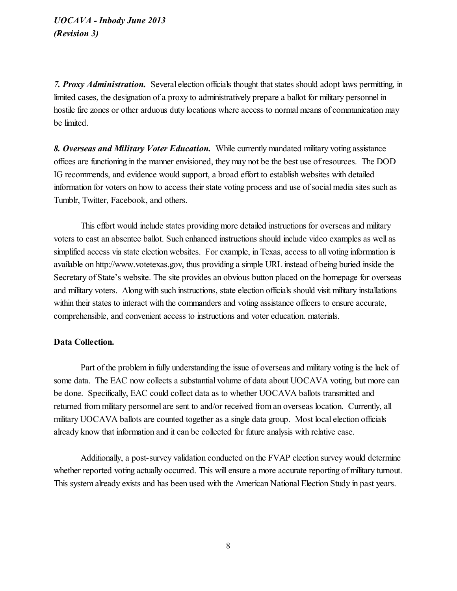*7. Proxy Administration.* Several election officials thought that states should adopt laws permitting, in limited cases, the designation of a proxy to administratively prepare a ballot for military personnel in hostile fire zones or other arduous duty locations where access to normal means of communication may be limited.

*8. Overseas and Military Voter Education.* While currently mandated military voting assistance offices are functioning in the manner envisioned, they may not be the best use of resources. The DOD IG recommends, and evidence would support, a broad effort to establish websites with detailed information for voters on how to access their state voting process and use ofsocial media sites such as Tumblr, Twitter, Facebook, and others.

This effort would include states providing more detailed instructions for overseas and military voters to cast an absentee ballot. Such enhanced instructions should include video examples as well as simplified access via state election websites. For example, in Texas, access to all voting information is available on http://www.votetexas.gov, thus providing a simple URL instead of being buried inside the Secretary of State's website. The site provides an obvious button placed on the homepage for overseas and military voters. Along with such instructions, state election officials should visit military installations within their states to interact with the commanders and voting assistance officers to ensure accurate, comprehensible, and convenient access to instructions and voter education. materials.

#### Data Collection.

Part of the problem in fully understanding the issue of overseas and military voting is the lack of some data. The EAC now collects a substantial volume of data about UOCAVA voting, but more can be done. Specifically, EAC could collect data as to whether UOCAVA ballots transmitted and returned from military personnel are sent to and/or received from an overseas location. Currently, all military UOCAVA ballots are counted together as a single data group. Most local election officials already know that information and it can be collected for future analysis with relative ease.

Additionally, a post-survey validation conducted on the FVAP election survey would determine whether reported voting actually occurred. This will ensure a more accurate reporting of military turnout. This system already exists and has been used with the American National Election Study in past years.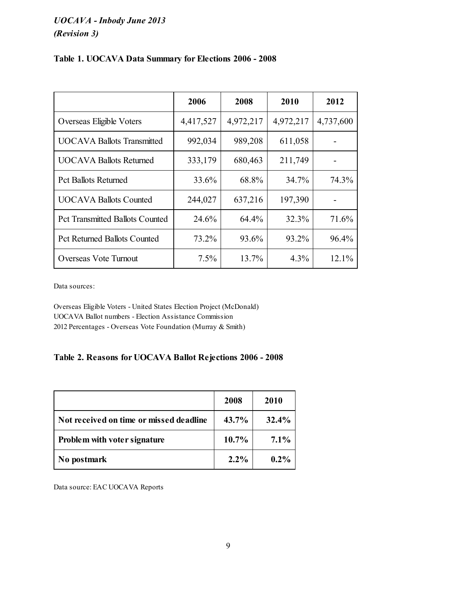|  |  |  |  | Table 1. UOCAVA Data Summary for Elections 2006 - 2008 |  |
|--|--|--|--|--------------------------------------------------------|--|
|--|--|--|--|--------------------------------------------------------|--|

|                                        | 2006      | 2008      | 2010      | 2012      |
|----------------------------------------|-----------|-----------|-----------|-----------|
| Overseas Eligible Voters               | 4,417,527 | 4,972,217 | 4,972,217 | 4,737,600 |
| <b>UOCAVA Ballots Transmitted</b>      | 992,034   | 989,208   | 611,058   |           |
| <b>UOCAVA Ballots Returned</b>         | 333,179   | 680,463   | 211,749   |           |
| <b>Pct Ballots Returned</b>            | 33.6%     | 68.8%     | 34.7%     | 74.3%     |
| <b>UOCAVA Ballots Counted</b>          | 244,027   | 637,216   | 197,390   |           |
| <b>Pct Transmitted Ballots Counted</b> | 24.6%     | 64.4%     | 32.3%     | 71.6%     |
| <b>Pct Returned Ballots Counted</b>    | 73.2%     | 93.6%     | 93.2%     | 96.4%     |
| Overseas Vote Turnout                  | 7.5%      | 13.7%     | $4.3\%$   | 12.1%     |

Data sources:

Overseas Eligible Voters - United States Election Project (McDonald) UOCAVA Ballot numbers - Election Assistance Commission 2012 Percentages - Overseas Vote Foundation (Murray & Smith)

## Table 2. Reasons for UOCAVA Ballot Rejections 2006 - 2008

|                                         | 2008     | 2010    |
|-----------------------------------------|----------|---------|
| Not received on time or missed deadline | 43.7%    | 32.4%   |
| Problem with voter signature            | $10.7\%$ | $7.1\%$ |
| No postmark                             | $2.2\%$  | $0.2\%$ |

Data source: EAC UOCAVA Reports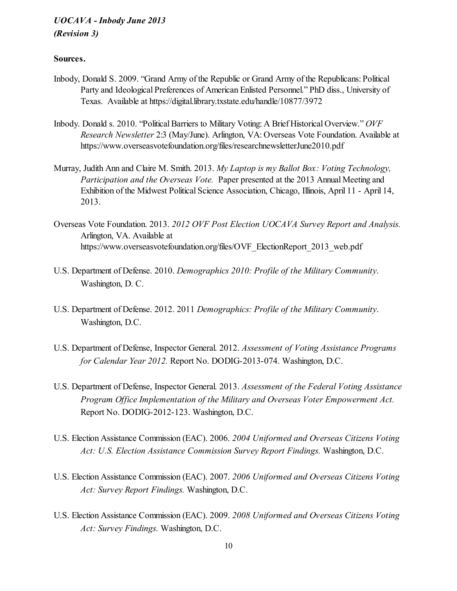### Sources.

- Inbody, Donald S. 2009. "Grand Army of the Republic or Grand Army of the Republicans: Political Party and Ideological Preferences of American Enlisted Personnel." PhD diss., University of Texas. Available at https://digital.library.txstate.edu/handle/10877/3972
- Inbody. Donald s. 2010. "PoliticalBarriers to Military Voting: A Brief Historical Overview." *OVF Research Newsletter* 2:3 (May/June). Arlington, VA: Overseas Vote Foundation. Available at https://www.overseasvotefoundation.org/files/researchnewsletterJune2010.pdf
- Murray, Judith Ann and Claire M. Smith. 2013. *My Laptop is my Ballot Box: Voting Technology, Participation and the Overseas Vote.* Paper presented at the 2013 Annual Meeting and Exhibition of the Midwest Political Science Association, Chicago, Illinois, April 11 - April 14, 2013.
- Overseas Vote Foundation. 2013. *2012 OVF Post Election UOCAVA Survey Report and Analysis.* Arlington, VA. Available at https://www.overseasvotefoundation.org/files/OVF\_ElectionReport\_2013\_web.pdf
- U.S. Department of Defense. 2010. *Demographics 2010: Profile of the Military Community*. Washington, D. C.
- U.S. Department of Defense. 2012. 2011 *Demographics: Profile of the Military Community*. Washington, D.C.
- U.S. Department of Defense, Inspector General. 2012. *Assessment of Voting Assistance Programs for Calendar Year 2012.* Report No. DODIG-2013-074. Washington, D.C.
- U.S. Department of Defense, Inspector General. 2013. *Assessment of the Federal Voting Assistance Program Of ice Implementation of the Military and Overseas Voter Empowerment Act.* Report No. DODIG-2012-123. Washington, D.C.
- U.S. Election Assistance Commission (EAC). 2006. *2004 Uniformed and Overseas Citizens Voting Act: U.S. Election Assistance Commission Survey Report Findings.* Washington, D.C.
- U.S. Election Assistance Commission (EAC). 2007. *2006 Uniformed and Overseas Citizens Voting Act: Survey Report Findings.* Washington, D.C.
- U.S. Election Assistance Commission (EAC). 2009. *2008 Uniformed and Overseas Citizens Voting Act: Survey Findings.* Washington, D.C.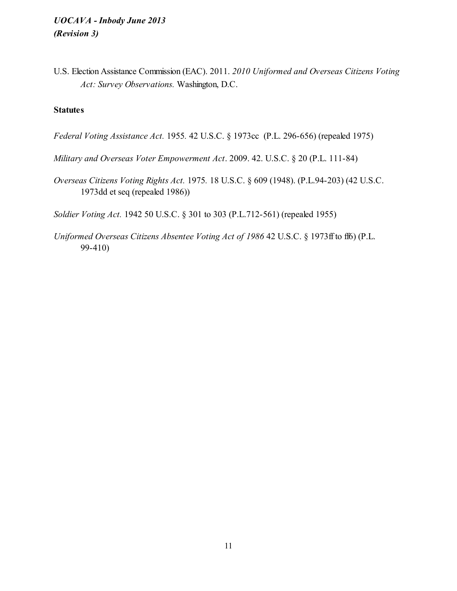U.S. Election Assistance Commission (EAC). 2011. *2010 Uniformed and Overseas Citizens Voting Act: Survey Observations.* Washington, D.C.

## **Statutes**

- *Federal Voting Assistance Act.* 1955*.* 42 U.S.C. § 1973cc (P.L. 296-656) (repealed 1975)
- *Military and Overseas Voter Empowerment Act*. 2009. 42. U.S.C. § 20 (P.L. 111-84)
- *Overseas Citizens Voting Rights Act.* 1975*.* 18 U.S.C. § 609 (1948). (P.L.94-203) (42 U.S.C. 1973dd et seq (repealed 1986))

*Soldier Voting Act.* 1942 50 U.S.C. § 301 to 303 (P.L.712-561) (repealed 1955)

*Uniformed Overseas Citizens Absentee Voting Act of 1986* 42 U.S.C. § 1973ff to ff6) (P.L. 99-410)